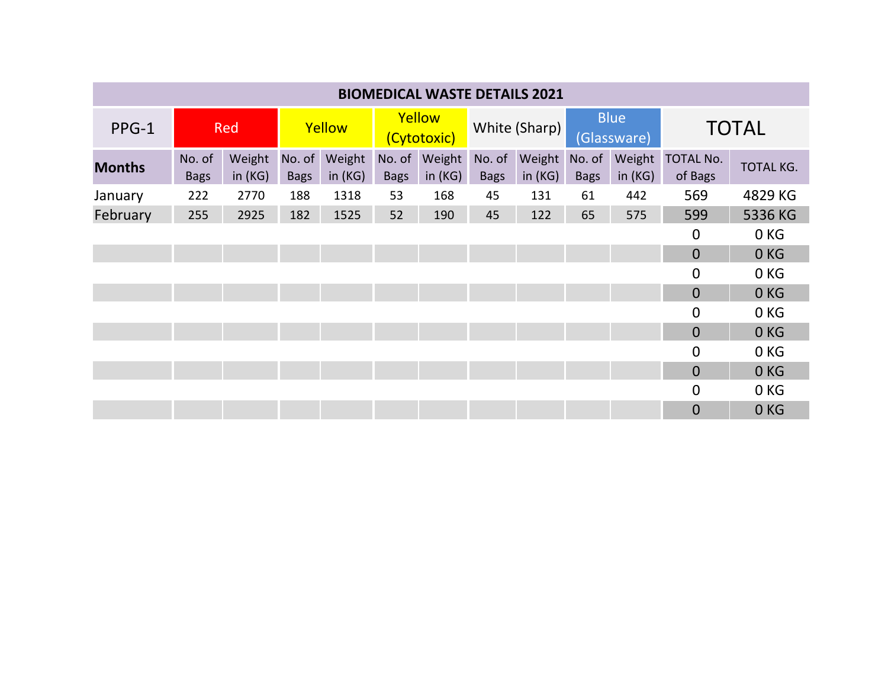| <b>BIOMEDICAL WASTE DETAILS 2021</b> |                       |                  |                       |                     |                       |                     |                       |                     |                            |                     |                      |                  |
|--------------------------------------|-----------------------|------------------|-----------------------|---------------------|-----------------------|---------------------|-----------------------|---------------------|----------------------------|---------------------|----------------------|------------------|
| PPG-1                                | Red                   |                  | Yellow                |                     | Yellow<br>(Cytotoxic) |                     | White (Sharp)         |                     | <b>Blue</b><br>(Glassware) |                     | <b>TOTAL</b>         |                  |
| <b>Months</b>                        | No. of<br><b>Bags</b> | Weight<br>in(KG) | No. of<br><b>Bags</b> | Weight<br>in $(KG)$ | No. of<br><b>Bags</b> | Weight<br>in $(KG)$ | No. of<br><b>Bags</b> | Weight<br>in $(KG)$ | No. of<br><b>Bags</b>      | Weight<br>in $(KG)$ | TOTAL No.<br>of Bags | <b>TOTAL KG.</b> |
| January                              | 222                   | 2770             | 188                   | 1318                | 53                    | 168                 | 45                    | 131                 | 61                         | 442                 | 569                  | 4829 KG          |
| February                             | 255                   | 2925             | 182                   | 1525                | 52                    | 190                 | 45                    | 122                 | 65                         | 575                 | 599                  | 5336 KG          |
|                                      |                       |                  |                       |                     |                       |                     |                       |                     |                            |                     | $\mathbf 0$          | 0 <sub>KG</sub>  |
|                                      |                       |                  |                       |                     |                       |                     |                       |                     |                            |                     | $\overline{0}$       | 0 <sub>KG</sub>  |
|                                      |                       |                  |                       |                     |                       |                     |                       |                     |                            |                     | $\overline{0}$       | 0 <sub>KG</sub>  |
|                                      |                       |                  |                       |                     |                       |                     |                       |                     |                            |                     | $\overline{0}$       | 0KG              |
|                                      |                       |                  |                       |                     |                       |                     |                       |                     |                            |                     | $\Omega$             | 0 <sub>KG</sub>  |
|                                      |                       |                  |                       |                     |                       |                     |                       |                     |                            |                     | $\overline{0}$       | 0 <sub>KG</sub>  |
|                                      |                       |                  |                       |                     |                       |                     |                       |                     |                            |                     | $\overline{0}$       | 0 <sub>KG</sub>  |
|                                      |                       |                  |                       |                     |                       |                     |                       |                     |                            |                     | $\overline{0}$       | 0 <sub>KG</sub>  |
|                                      |                       |                  |                       |                     |                       |                     |                       |                     |                            |                     | $\overline{0}$       | 0 KG             |
|                                      |                       |                  |                       |                     |                       |                     |                       |                     |                            |                     | $\Omega$             | 0 <sub>KG</sub>  |